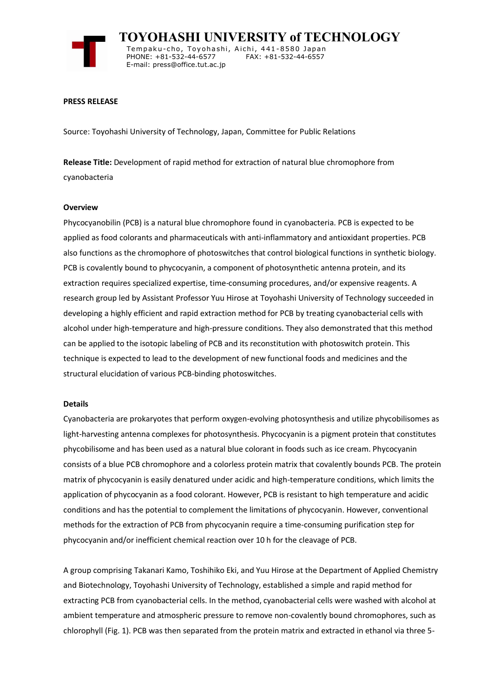

 **TOYOHASHI UNIVERSITY of TECHNOLOGY** Tempaku-cho, Toyohashi, Aichi, 441-8580 Japan<br>PHONE: +81-532-44-6577 FAX: +81-532-44-6557 PHONE: +81-532-44-6577 E-mail: press@office.tut.ac.jp

### **PRESS RELEASE**

Source: Toyohashi University of Technology, Japan, Committee for Public Relations

**Release Title:** Development of rapid method for extraction of natural blue chromophore from cyanobacteria

#### **Overview**

Phycocyanobilin (PCB) is a natural blue chromophore found in cyanobacteria. PCB is expected to be applied as food colorants and pharmaceuticals with anti-inflammatory and antioxidant properties. PCB also functions as the chromophore of photoswitches that control biological functions in synthetic biology. PCB is covalently bound to phycocyanin, a component of photosynthetic antenna protein, and its extraction requires specialized expertise, time-consuming procedures, and/or expensive reagents. A research group led by Assistant Professor Yuu Hirose at Toyohashi University of Technology succeeded in developing a highly efficient and rapid extraction method for PCB by treating cyanobacterial cells with alcohol under high-temperature and high-pressure conditions. They also demonstrated that this method can be applied to the isotopic labeling of PCB and its reconstitution with photoswitch protein. This technique is expected to lead to the development of new functional foods and medicines and the structural elucidation of various PCB-binding photoswitches.

### **Details**

Cyanobacteria are prokaryotes that perform oxygen-evolving photosynthesis and utilize phycobilisomes as light-harvesting antenna complexes for photosynthesis. Phycocyanin is a pigment protein that constitutes phycobilisome and has been used as a natural blue colorant in foods such as ice cream. Phycocyanin consists of a blue PCB chromophore and a colorless protein matrix that covalently bounds PCB. The protein matrix of phycocyanin is easily denatured under acidic and high-temperature conditions, which limits the application of phycocyanin as a food colorant. However, PCB is resistant to high temperature and acidic conditions and has the potential to complement the limitations of phycocyanin. However, conventional methods for the extraction of PCB from phycocyanin require a time-consuming purification step for phycocyanin and/or inefficient chemical reaction over 10 h for the cleavage of PCB.

A group comprising Takanari Kamo, Toshihiko Eki, and Yuu Hirose at the Department of Applied Chemistry and Biotechnology, Toyohashi University of Technology, established a simple and rapid method for extracting PCB from cyanobacterial cells. In the method, cyanobacterial cells were washed with alcohol at ambient temperature and atmospheric pressure to remove non-covalently bound chromophores, such as chlorophyll (Fig. 1). PCB was then separated from the protein matrix and extracted in ethanol via three 5-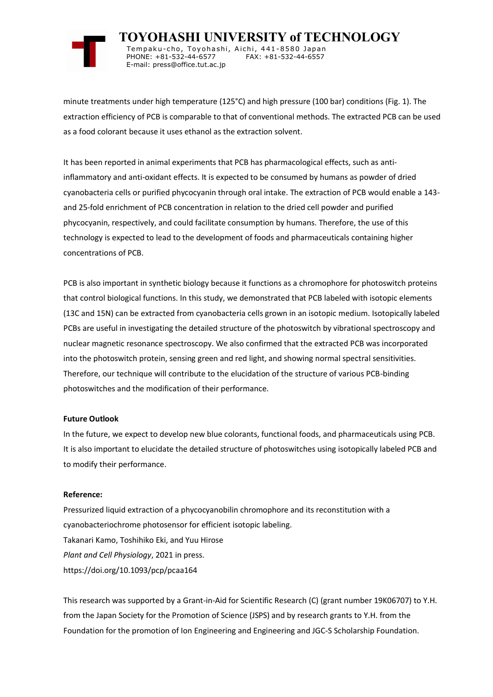

 **TOYOHASHI UNIVERSITY of TECHNOLOGY** Tempaku-cho, Toyohashi, Aichi, 441-8580 Japan<br>PHONE: +81-532-44-6577 FAX: +81-532-44-6557 PHONE: +81-532-44-6577 E-mail: press@office.tut.ac.jp

minute treatments under high temperature (125°C) and high pressure (100 bar) conditions (Fig. 1). The extraction efficiency of PCB is comparable to that of conventional methods. The extracted PCB can be used as a food colorant because it uses ethanol as the extraction solvent.

It has been reported in animal experiments that PCB has pharmacological effects, such as antiinflammatory and anti-oxidant effects. It is expected to be consumed by humans as powder of dried cyanobacteria cells or purified phycocyanin through oral intake. The extraction of PCB would enable a 143 and 25-fold enrichment of PCB concentration in relation to the dried cell powder and purified phycocyanin, respectively, and could facilitate consumption by humans. Therefore, the use of this technology is expected to lead to the development of foods and pharmaceuticals containing higher concentrations of PCB.

PCB is also important in synthetic biology because it functions as a chromophore for photoswitch proteins that control biological functions. In this study, we demonstrated that PCB labeled with isotopic elements (13C and 15N) can be extracted from cyanobacteria cells grown in an isotopic medium. Isotopically labeled PCBs are useful in investigating the detailed structure of the photoswitch by vibrational spectroscopy and nuclear magnetic resonance spectroscopy. We also confirmed that the extracted PCB was incorporated into the photoswitch protein, sensing green and red light, and showing normal spectral sensitivities. Therefore, our technique will contribute to the elucidation of the structure of various PCB-binding photoswitches and the modification of their performance.

## **Future Outlook**

In the future, we expect to develop new blue colorants, functional foods, and pharmaceuticals using PCB. It is also important to elucidate the detailed structure of photoswitches using isotopically labeled PCB and to modify their performance.

## **Reference:**

Pressurized liquid extraction of a phycocyanobilin chromophore and its reconstitution with a cyanobacteriochrome photosensor for efficient isotopic labeling. Takanari Kamo, Toshihiko Eki, and Yuu Hirose *Plant and Cell Physiology*, 2021 in press. https://doi.org/10.1093/pcp/pcaa164

This research was supported by a Grant-in-Aid for Scientific Research (C) (grant number 19K06707) to Y.H. from the Japan Society for the Promotion of Science (JSPS) and by research grants to Y.H. from the Foundation for the promotion of Ion Engineering and Engineering and JGC-S Scholarship Foundation.